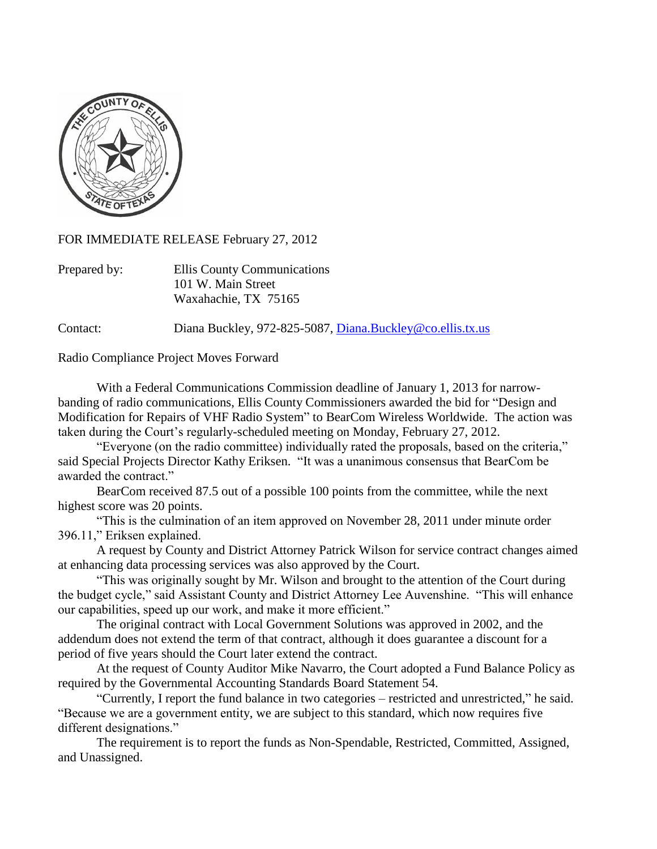

FOR IMMEDIATE RELEASE February 27, 2012

| Prepared by: | Ellis County Communications |
|--------------|-----------------------------|
|              | 101 W. Main Street          |
|              | Waxahachie, TX 75165        |

Contact: Diana Buckley, 972-825-5087, [Diana.Buckley@co.ellis.tx.us](mailto:Diana.Buckley@co.ellis.tx.us)

Radio Compliance Project Moves Forward

With a Federal Communications Commission deadline of January 1, 2013 for narrowbanding of radio communications, Ellis County Commissioners awarded the bid for "Design and Modification for Repairs of VHF Radio System" to BearCom Wireless Worldwide. The action was taken during the Court's regularly-scheduled meeting on Monday, February 27, 2012.

"Everyone (on the radio committee) individually rated the proposals, based on the criteria," said Special Projects Director Kathy Eriksen. "It was a unanimous consensus that BearCom be awarded the contract."

BearCom received 87.5 out of a possible 100 points from the committee, while the next highest score was 20 points.

"This is the culmination of an item approved on November 28, 2011 under minute order 396.11," Eriksen explained.

A request by County and District Attorney Patrick Wilson for service contract changes aimed at enhancing data processing services was also approved by the Court.

"This was originally sought by Mr. Wilson and brought to the attention of the Court during the budget cycle," said Assistant County and District Attorney Lee Auvenshine. "This will enhance our capabilities, speed up our work, and make it more efficient."

The original contract with Local Government Solutions was approved in 2002, and the addendum does not extend the term of that contract, although it does guarantee a discount for a period of five years should the Court later extend the contract.

At the request of County Auditor Mike Navarro, the Court adopted a Fund Balance Policy as required by the Governmental Accounting Standards Board Statement 54.

"Currently, I report the fund balance in two categories – restricted and unrestricted," he said. "Because we are a government entity, we are subject to this standard, which now requires five different designations."

The requirement is to report the funds as Non-Spendable, Restricted, Committed, Assigned, and Unassigned.